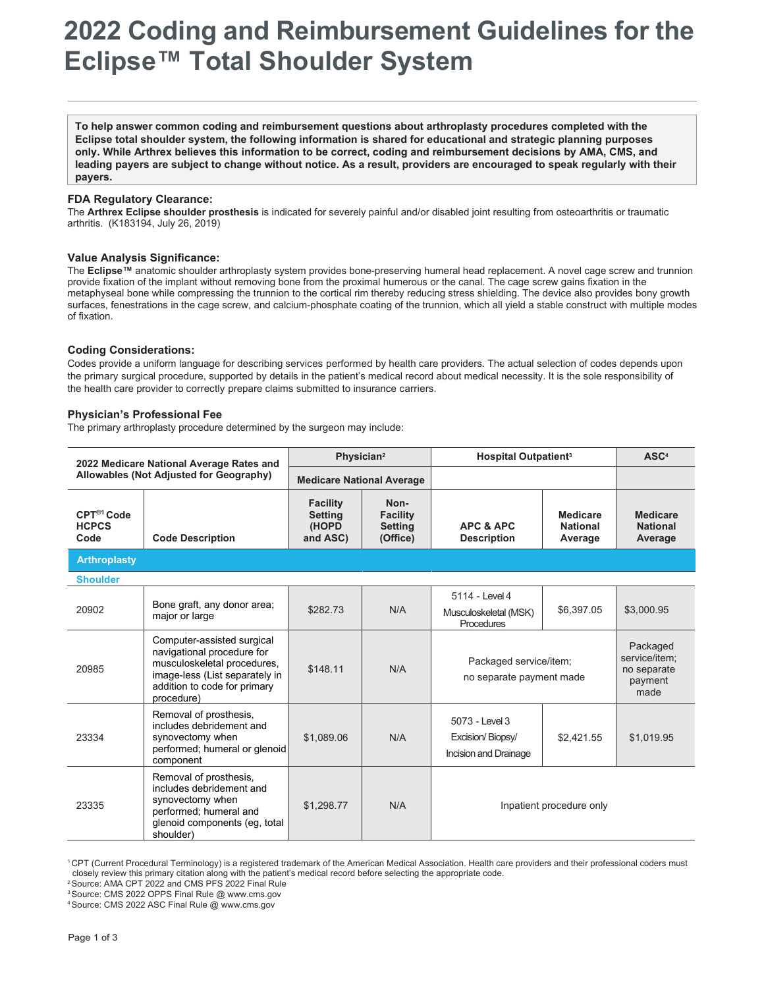# **2022 Coding and Reimbursement Guidelines for the Eclipse™ Total Shoulder System**

**To help answer common coding and reimbursement questions about arthroplasty procedures completed with the Eclipse total shoulder system, the following information is shared for educational and strategic planning purposes only. While Arthrex believes this information to be correct, coding and reimbursement decisions by AMA, CMS, and leading payers are subject to change without notice. As a result, providers are encouraged to speak regularly with their payers.**

## **FDA Regulatory Clearance:**

The **Arthrex Eclipse shoulder prosthesis** is indicated for severely painful and/or disabled joint resulting from osteoarthritis or traumatic arthritis. (K183194, July 26, 2019)

#### **Value Analysis Significance:**

The **Eclipse™** anatomic shoulder arthroplasty system provides bone-preserving humeral head replacement. A novel cage screw and trunnion provide fixation of the implant without removing bone from the proximal humerous or the canal. The cage screw gains fixation in the metaphyseal bone while compressing the trunnion to the cortical rim thereby reducing stress shielding. The device also provides bony growth surfaces, fenestrations in the cage screw, and calcium-phosphate coating of the trunnion, which all yield a stable construct with multiple modes of fixation.

## **Coding Considerations:**

Codes provide a uniform language for describing services performed by health care providers. The actual selection of codes depends upon the primary surgical procedure, supported by details in the patient's medical record about medical necessity. It is the sole responsibility of the health care provider to correctly prepare claims submitted to insurance carriers.

## **Physician's Professional Fee**

The primary arthroplasty procedure determined by the surgeon may include:

| 2022 Medicare National Average Rates and<br>Allowables (Not Adjusted for Geography) |                                                                                                                                                                         | Physician <sup>2</sup>                                 |                                                       | <b>Hospital Outpatient<sup>3</sup></b>                       |                                               | ASC <sup>4</sup>                                            |
|-------------------------------------------------------------------------------------|-------------------------------------------------------------------------------------------------------------------------------------------------------------------------|--------------------------------------------------------|-------------------------------------------------------|--------------------------------------------------------------|-----------------------------------------------|-------------------------------------------------------------|
|                                                                                     |                                                                                                                                                                         | <b>Medicare National Average</b>                       |                                                       |                                                              |                                               |                                                             |
| CPT <sup>®1</sup> Code<br><b>HCPCS</b><br>Code                                      | <b>Code Description</b>                                                                                                                                                 | <b>Facility</b><br><b>Setting</b><br>(HOPD<br>and ASC) | Non-<br><b>Facility</b><br><b>Setting</b><br>(Office) | <b>APC &amp; APC</b><br><b>Description</b>                   | <b>Medicare</b><br><b>National</b><br>Average | <b>Medicare</b><br><b>National</b><br>Average               |
| <b>Arthroplasty</b>                                                                 |                                                                                                                                                                         |                                                        |                                                       |                                                              |                                               |                                                             |
| <b>Shoulder</b>                                                                     |                                                                                                                                                                         |                                                        |                                                       |                                                              |                                               |                                                             |
| 20902                                                                               | Bone graft, any donor area;<br>major or large                                                                                                                           | \$282.73                                               | N/A                                                   | 5114 - Level 4<br>Musculoskeletal (MSK)<br><b>Procedures</b> | \$6,397.05                                    | \$3,000.95                                                  |
| 20985                                                                               | Computer-assisted surgical<br>navigational procedure for<br>musculoskeletal procedures,<br>image-less (List separately in<br>addition to code for primary<br>procedure) | \$148.11                                               | N/A                                                   | Packaged service/item;<br>no separate payment made           |                                               | Packaged<br>service/item;<br>no separate<br>payment<br>made |
| 23334                                                                               | Removal of prosthesis,<br>includes debridement and<br>synovectomy when<br>performed; humeral or glenoid<br>component                                                    | \$1,089.06                                             | N/A                                                   | 5073 - Level 3<br>Excision/Biopsy/<br>Incision and Drainage  | \$2,421.55                                    | \$1,019.95                                                  |
| 23335                                                                               | Removal of prosthesis,<br>includes debridement and<br>synovectomy when<br>performed; humeral and<br>glenoid components (eq. total<br>shoulder)                          | \$1.298.77                                             | N/A                                                   | Inpatient procedure only                                     |                                               |                                                             |

<sup>1</sup> CPT (Current Procedural Terminology) is a registered trademark of the American Medical Association. Health care providers and their professional coders must closely review this primary citation along with the patient's medical record before selecting the appropriate code.

2 Source: AMA CPT 2022 and CMS PFS 2022 Final Rule

3 Source: CMS 2022 OPPS Final Rule @ [www.cms.gov](http://www.cms.gov/)

4 Source: CMS 2022 ASC Final Rule @ [www.cms.gov](http://www.cms.gov/)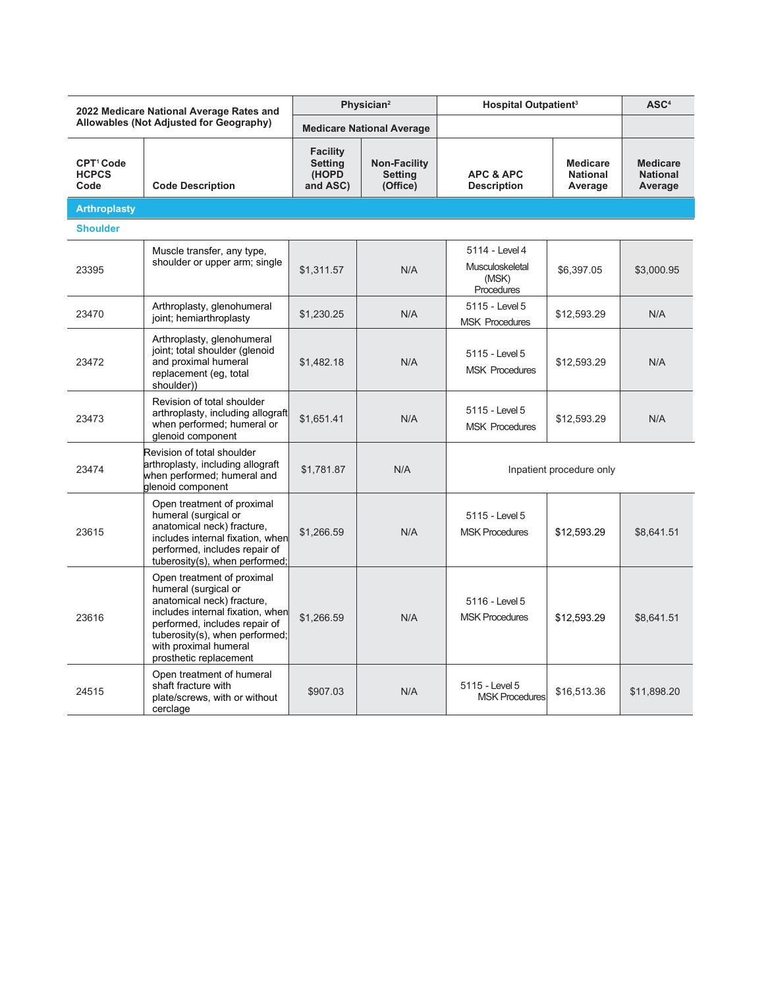| 2022 Medicare National Average Rates and<br>Allowables (Not Adjusted for Geography) |                                                                                                                                                                                                                                            | Physician <sup>2</sup>                                 |                                                   | <b>Hospital Outpatient<sup>3</sup></b>                          |                                               | ASC <sup>4</sup>                              |
|-------------------------------------------------------------------------------------|--------------------------------------------------------------------------------------------------------------------------------------------------------------------------------------------------------------------------------------------|--------------------------------------------------------|---------------------------------------------------|-----------------------------------------------------------------|-----------------------------------------------|-----------------------------------------------|
|                                                                                     |                                                                                                                                                                                                                                            | <b>Medicare National Average</b>                       |                                                   |                                                                 |                                               |                                               |
| CPT <sup>1</sup> Code<br><b>HCPCS</b><br>Code                                       | <b>Code Description</b>                                                                                                                                                                                                                    | <b>Facility</b><br><b>Setting</b><br>(HOPD<br>and ASC) | <b>Non-Facility</b><br><b>Setting</b><br>(Office) | <b>APC &amp; APC</b><br><b>Description</b>                      | <b>Medicare</b><br><b>National</b><br>Average | <b>Medicare</b><br><b>National</b><br>Average |
| <b>Arthroplasty</b>                                                                 |                                                                                                                                                                                                                                            |                                                        |                                                   |                                                                 |                                               |                                               |
| <b>Shoulder</b>                                                                     |                                                                                                                                                                                                                                            |                                                        |                                                   |                                                                 |                                               |                                               |
| 23395                                                                               | Muscle transfer, any type,<br>shoulder or upper arm; single                                                                                                                                                                                | \$1,311.57                                             | N/A                                               | 5114 - Level 4<br>Musculoskeletal<br>(MSK)<br><b>Procedures</b> | \$6,397.05                                    | \$3,000.95                                    |
| 23470                                                                               | Arthroplasty, glenohumeral<br>joint; hemiarthroplasty                                                                                                                                                                                      | \$1,230.25                                             | N/A                                               | 5115 - Level 5<br><b>MSK Procedures</b>                         | \$12,593.29                                   | N/A                                           |
| 23472                                                                               | Arthroplasty, glenohumeral<br>joint; total shoulder (glenoid<br>and proximal humeral<br>replacement (eg, total<br>shoulder))                                                                                                               | \$1,482.18                                             | N/A                                               | 5115 - Level 5<br><b>MSK Procedures</b>                         | \$12,593.29                                   | N/A                                           |
| 23473                                                                               | Revision of total shoulder<br>arthroplasty, including allograft<br>when performed; humeral or<br>glenoid component                                                                                                                         | \$1,651.41                                             | N/A                                               | 5115 - Level 5<br><b>MSK Procedures</b>                         | \$12,593.29                                   | N/A                                           |
| 23474                                                                               | Revision of total shoulder<br>arthroplasty, including allograft<br>when performed; humeral and<br>glenoid component                                                                                                                        | \$1,781.87                                             | N/A                                               | Inpatient procedure only                                        |                                               |                                               |
| 23615                                                                               | Open treatment of proximal<br>humeral (surgical or<br>anatomical neck) fracture,<br>includes internal fixation, when<br>performed, includes repair of<br>tuberosity(s), when performed;                                                    | \$1,266.59                                             | N/A                                               | 5115 - Level 5<br><b>MSK Procedures</b>                         | \$12,593.29                                   | \$8,641.51                                    |
| 23616                                                                               | Open treatment of proximal<br>humeral (surgical or<br>anatomical neck) fracture,<br>includes internal fixation, when<br>performed, includes repair of<br>tuberosity(s), when performed;<br>with proximal humeral<br>prosthetic replacement | \$1,266.59                                             | N/A                                               | 5116 - Level 5<br><b>MSK Procedures</b>                         | \$12,593.29                                   | \$8,641.51                                    |
| 24515                                                                               | Open treatment of humeral<br>shaft fracture with<br>plate/screws, with or without<br>cerclage                                                                                                                                              | \$907.03                                               | N/A                                               | 5115 - Level 5<br><b>MSK Procedures</b>                         | \$16,513.36                                   | \$11,898.20                                   |